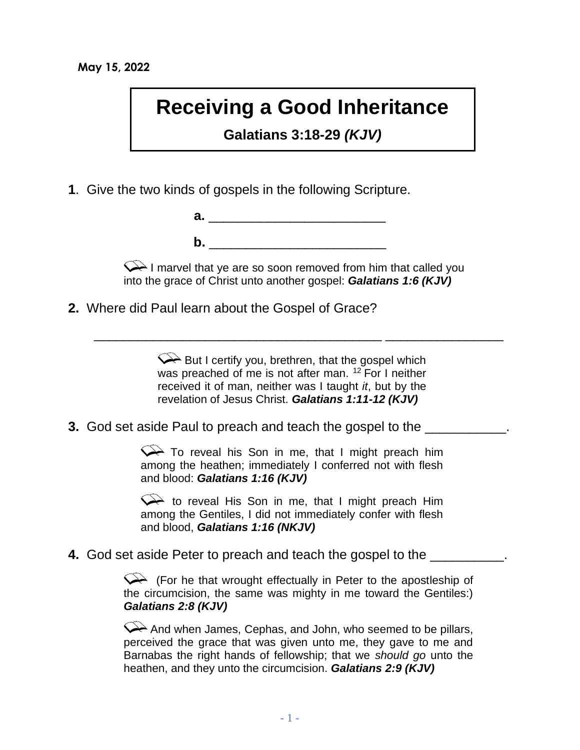## **Receiving a Good Inheritance**

**Galatians 3:18-29** *(KJV)*

**1**. Give the two kinds of gospels in the following Scripture.

| а. |  |  |  |
|----|--|--|--|
|    |  |  |  |
|    |  |  |  |

 $\mathsf{Q}\rightarrow$  I marvel that ye are so soon removed from him that called you into the grace of Christ unto another gospel: *Galatians 1:6 (KJV)*

**2.** Where did Paul learn about the Gospel of Grace?

 $\leftrightarrow$  But I certify you, brethren, that the gospel which was preached of me is not after man.  $12$  For I neither received it of man, neither was I taught *it*, but by the revelation of Jesus Christ. *Galatians 1:11-12 (KJV)*

 $\frac{1}{\sqrt{2}}$  ,  $\frac{1}{\sqrt{2}}$  ,  $\frac{1}{\sqrt{2}}$  ,  $\frac{1}{\sqrt{2}}$  ,  $\frac{1}{\sqrt{2}}$  ,  $\frac{1}{\sqrt{2}}$  ,  $\frac{1}{\sqrt{2}}$  ,  $\frac{1}{\sqrt{2}}$  ,  $\frac{1}{\sqrt{2}}$  ,  $\frac{1}{\sqrt{2}}$  ,  $\frac{1}{\sqrt{2}}$  ,  $\frac{1}{\sqrt{2}}$  ,  $\frac{1}{\sqrt{2}}$  ,  $\frac{1}{\sqrt{2}}$  ,  $\frac{1}{\sqrt{2}}$ 

**3.** God set aside Paul to preach and teach the gospel to the

To reveal his Son in me, that I might preach him among the heathen; immediately I conferred not with flesh and blood: *Galatians 1:16 (KJV)*

to reveal His Son in me, that I might preach Him among the Gentiles, I did not immediately confer with flesh and blood, *Galatians 1:16 (NKJV)*

**4.** God set aside Peter to preach and teach the gospel to the \_\_\_\_\_\_\_\_\_\_.

(For he that wrought effectually in Peter to the apostleship of the circumcision, the same was mighty in me toward the Gentiles:) *Galatians 2:8 (KJV)*

 $\leftrightarrow$  And when James, Cephas, and John, who seemed to be pillars, perceived the grace that was given unto me, they gave to me and Barnabas the right hands of fellowship; that we *should go* unto the heathen, and they unto the circumcision. *Galatians 2:9 (KJV)*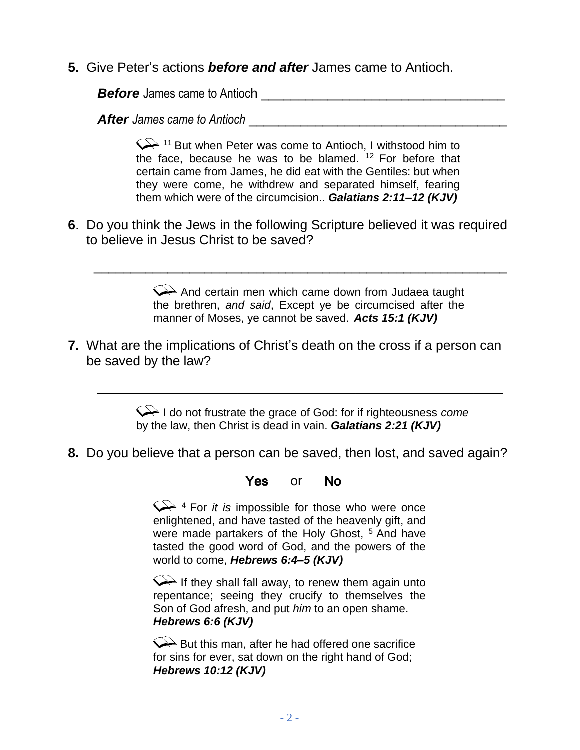**5.** Give Peter's actions *before and after* James came to Antioch.

*Before* James came to Antioch **Exercise 2018** 

**After** James came to Antioch **and the set of the set of the set of the set of the set of the set of the set of the set of the set of the set of the set of the set of the set of the set of the set of the set of the set of** 

 $\leftarrow$  11 But when Peter was come to Antioch, I withstood him to the face, because he was to be blamed.  $12$  For before that certain came from James, he did eat with the Gentiles: but when they were come, he withdrew and separated himself, fearing them which were of the circumcision.. *Galatians 2:11–12 (KJV)*

**6**. Do you think the Jews in the following Scripture believed it was required to believe in Jesus Christ to be saved?

\_\_\_\_\_\_\_\_\_\_\_\_\_\_\_\_\_\_\_\_\_\_\_\_\_\_\_\_\_\_\_\_\_\_\_\_\_\_\_\_\_\_\_\_\_\_\_\_\_\_\_\_\_\_\_\_

And certain men which came down from Judaea taught the brethren, *and said*, Except ye be circumcised after the manner of Moses, ye cannot be saved. *Acts 15:1 (KJV)*

**7.** What are the implications of Christ's death on the cross if a person can be saved by the law?

\_\_\_\_\_\_\_\_\_\_\_\_\_\_\_\_\_\_\_\_\_\_\_\_\_\_\_\_\_\_\_\_\_\_\_\_\_\_\_\_\_\_\_\_\_\_\_\_\_\_\_\_\_\_\_

I do not frustrate the grace of God: for if righteousness *come* by the law, then Christ is dead in vain. *Galatians 2:21 (KJV)*

**8.** Do you believe that a person can be saved, then lost, and saved again?

#### YesorNo

 $\leftarrow$ <sup>4</sup> For *it is* impossible for those who were once enlightened, and have tasted of the heavenly gift, and were made partakers of the Holy Ghost, <sup>5</sup> And have tasted the good word of God, and the powers of the world to come, *Hebrews 6:4–5 (KJV)*

If they shall fall away, to renew them again unto repentance; seeing they crucify to themselves the Son of God afresh, and put *him* to an open shame. *Hebrews 6:6 (KJV)*

But this man, after he had offered one sacrifice for sins for ever, sat down on the right hand of God; *Hebrews 10:12 (KJV)*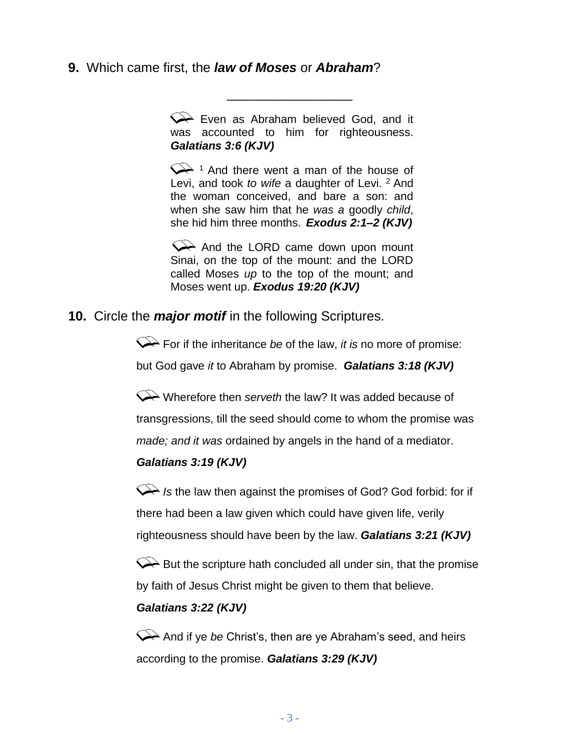### **9.** Which came first, the *law of Moses* or *Abraham*?

 $\leftrightarrow$  Even as Abraham believed God, and it was accounted to him for righteousness. *Galatians 3:6 (KJV)* 

\_\_\_\_\_\_\_\_\_\_\_\_\_\_\_\_\_

 $\leftarrow$ <sup>1</sup> And there went a man of the house of Levi, and took *to wife* a daughter of Levi. <sup>2</sup> And the woman conceived, and bare a son: and when she saw him that he *was a* goodly *child*, she hid him three months. *Exodus 2:1–2 (KJV)*

 $\leftrightarrow$  And the LORD came down upon mount Sinai, on the top of the mount: and the LORD called Moses *up* to the top of the mount; and Moses went up. *Exodus 19:20 (KJV)* 

**10.** Circle the *major motif* in the following Scriptures.

For if the inheritance *be* of the law, *it is* no more of promise:

but God gave *it* to Abraham by promise. *Galatians 3:18 (KJV)*

Wherefore then *serveth* the law? It was added because of transgressions, till the seed should come to whom the promise was *made; and it was* ordained by angels in the hand of a mediator.

#### *Galatians 3:19 (KJV)*

Is the law then against the promises of God? God forbid: for if there had been a law given which could have given life, verily righteousness should have been by the law. *Galatians 3:21 (KJV)*

 $\mathcal{P}$  But the scripture hath concluded all under sin, that the promise by faith of Jesus Christ might be given to them that believe.

### *Galatians 3:22 (KJV)*

And if ye *be* Christ's, then are ye Abraham's seed, and heirs according to the promise. *Galatians 3:29 (KJV)*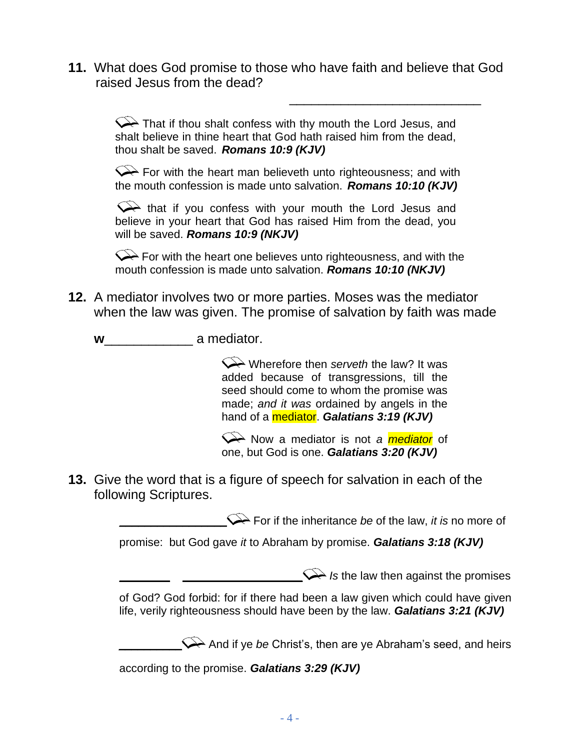**11.** What does God promise to those who have faith and believe that God raised Jesus from the dead?

 $\frac{1}{2}$  , and the contract of the contract of the contract of the contract of the contract of the contract of the contract of the contract of the contract of the contract of the contract of the contract of the contract

 $\leftrightarrow$  That if thou shalt confess with thy mouth the Lord Jesus, and shalt believe in thine heart that God hath raised him from the dead, thou shalt be saved. *Romans 10:9 (KJV)* 

 $\leftrightarrow$  For with the heart man believeth unto righteousness; and with the mouth confession is made unto salvation. *Romans 10:10 (KJV)*

that if you confess with your mouth the Lord Jesus and believe in your heart that God has raised Him from the dead, you will be saved. *Romans 10:9 (NKJV)*

 $\leftrightarrow$  For with the heart one believes unto righteousness, and with the mouth confession is made unto salvation. *Romans 10:10 (NKJV)*

- **12.** A mediator involves two or more parties. Moses was the mediator when the law was given. The promise of salvation by faith was made
	- **w**\_\_\_\_\_\_\_\_\_\_\_\_ a mediator.

Wherefore then *serveth* the law? It was added because of transgressions, till the seed should come to whom the promise was made; *and it was* ordained by angels in the hand of a mediator. *Galatians 3:19 (KJV)*

Now a mediator is not *a mediator* of one, but God is one. *Galatians 3:20 (KJV)*

**13.** Give the word that is a figure of speech for salvation in each of the following Scriptures.

For if the inheritance *be* of the law, *it is* no more of

promise: but God gave *it* to Abraham by promise. *Galatians 3:18 (KJV)*

 $\mathcal{Q}$  *Is* the law then against the promises

of God? God forbid: for if there had been a law given which could have given life, verily righteousness should have been by the law. *Galatians 3:21 (KJV)*

And if ye *be* Christ's, then are ye Abraham's seed, and heirs

according to the promise. *Galatians 3:29 (KJV)*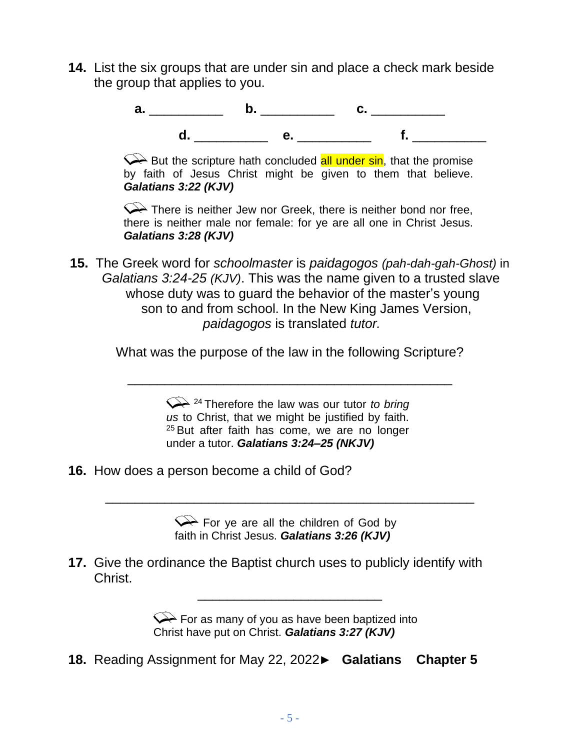**14.** List the six groups that are under sin and place a check mark beside the group that applies to you.



 $\leftrightarrow$  But the scripture hath concluded all under sin, that the promise by faith of Jesus Christ might be given to them that believe. *Galatians 3:22 (KJV)*

 $\leftrightarrow$  There is neither Jew nor Greek, there is neither bond nor free, there is neither male nor female: for ye are all one in Christ Jesus. *Galatians 3:28 (KJV)*

**15.** The Greek word for *schoolmaster* is *paidagogos (pah-dah-gah-Ghost)* in *Galatians 3:24-25 (KJV)*. This was the name given to a trusted slave whose duty was to guard the behavior of the master's young son to and from school. In the New King James Version, *paidagogos* is translated *tutor.*

What was the purpose of the law in the following Scripture?

\_\_\_\_\_\_\_\_\_\_\_\_\_\_\_\_\_\_\_\_\_\_\_\_\_\_\_\_\_\_\_\_\_\_\_\_\_\_\_\_\_\_\_\_

<sup>24</sup> Therefore the law was our tutor *to bring us* to Christ, that we might be justified by faith. <sup>25</sup> But after faith has come, we are no longer under a tutor. *Galatians 3:24–25 (NKJV)* 

**16.** How does a person become a child of God?

For ye are all the children of God by faith in Christ Jesus. *Galatians 3:26 (KJV)*

\_\_\_\_\_\_\_\_\_\_\_\_\_\_\_\_\_\_\_\_\_\_\_\_\_\_\_\_\_\_\_\_\_\_\_\_\_\_\_\_\_\_\_\_\_\_\_\_\_\_

**17.** Give the ordinance the Baptist church uses to publicly identify with Christ.

> For as many of you as have been baptized into Christ have put on Christ. *Galatians 3:27 (KJV)*

\_\_\_\_\_\_\_\_\_\_\_\_\_\_\_\_\_\_\_\_\_\_\_\_\_

**18.** Reading Assignment for May 22, 2022► **Galatians Chapter 5**